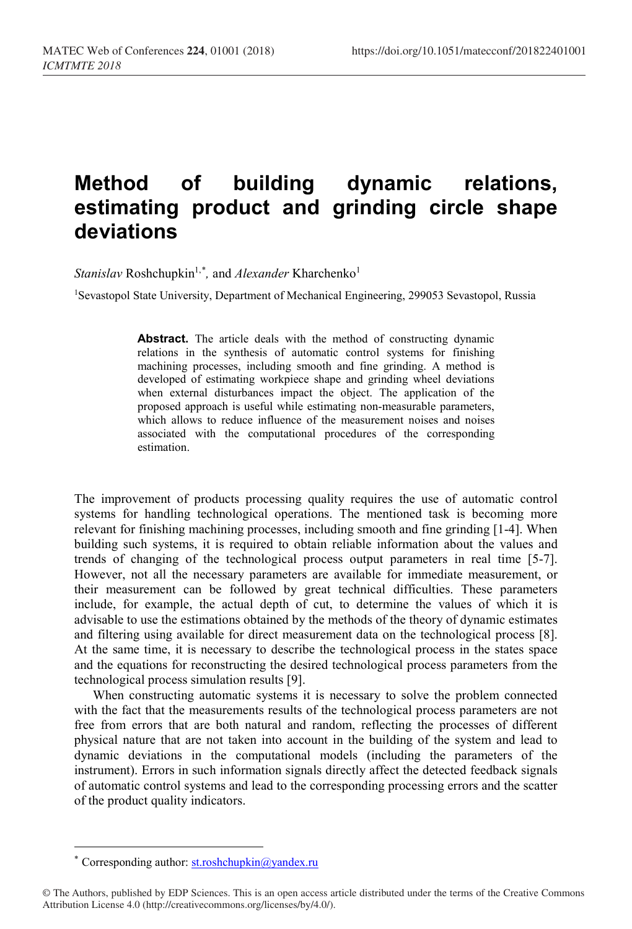## **Method of building dynamic relations, estimating product and grinding circle shape deviations**

*Stanislav* Roshchupkin<sup>1,[\\*](#page-0-0)</sup>, and *Alexander* Kharchenko<sup>1</sup>

<sup>1</sup>Sevastopol State University, Department of Mechanical Engineering, 299053 Sevastopol, Russia

Abstract. The article deals with the method of constructing dynamic relations in the synthesis of automatic control systems for finishing machining processes, including smooth and fine grinding. A method is developed of estimating workpiece shape and grinding wheel deviations when external disturbances impact the object. The application of the proposed approach is useful while estimating non-measurable parameters, which allows to reduce influence of the measurement noises and noises associated with the computational procedures of the corresponding estimation.

The improvement of products processing quality requires the use of automatic control systems for handling technological operations. The mentioned task is becoming more relevant for finishing machining processes, including smooth and fine grinding [1-4]. When building such systems, it is required to obtain reliable information about the values and trends of changing of the technological process output parameters in real time [5-7]. However, not all the necessary parameters are available for immediate measurement, or their measurement can be followed by great technical difficulties. These parameters include, for example, the actual depth of cut, to determine the values of which it is advisable to use the estimations obtained by the methods of the theory of dynamic estimates and filtering using available for direct measurement data on the technological process [8]. At the same time, it is necessary to describe the technological process in the states space and the equations for reconstructing the desired technological process parameters from the technological process simulation results [9].

When constructing automatic systems it is necessary to solve the problem connected with the fact that the measurements results of the technological process parameters are not free from errors that are both natural and random, reflecting the processes of different physical nature that are not taken into account in the building of the system and lead to dynamic deviations in the computational models (including the parameters of the instrument). Errors in such information signals directly affect the detected feedback signals of automatic control systems and lead to the corresponding processing errors and the scatter of the product quality indicators.

 $\overline{a}$ 

<sup>\*</sup> Corresponding author: st.roshchupkin@yandex.ru

<span id="page-0-0"></span><sup>©</sup> The Authors, published by EDP Sciences. This is an open access article distributed under the terms of the Creative Commons Attribution License 4.0 (http://creativecommons.org/licenses/by/4.0/).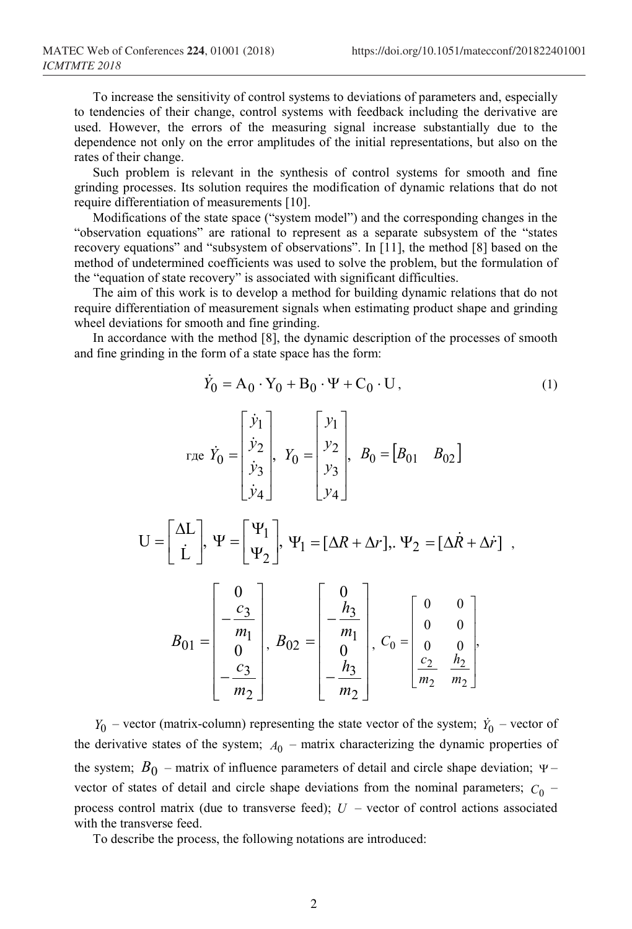,

To increase the sensitivity of control systems to deviations of parameters and, especially to tendencies of their change, control systems with feedback including the derivative are used. However, the errors of the measuring signal increase substantially due to the dependence not only on the error amplitudes of the initial representations, but also on the rates of their change.

Such problem is relevant in the synthesis of control systems for smooth and fine grinding processes. Its solution requires the modification of dynamic relations that do not require differentiation of measurements [10].

Modifications of the state space ("system model") and the corresponding changes in the "observation equations" are rational to represent as a separate subsystem of the "states recovery equations" and "subsystem of observations". In [11], the method [8] based on the method of undetermined coefficients was used to solve the problem, but the formulation of the "equation of state recovery" is associated with significant difficulties.

The aim of this work is to develop a method for building dynamic relations that do not require differentiation of measurement signals when estimating product shape and grinding wheel deviations for smooth and fine grinding.

In accordance with the method [8], the dynamic description of the processes of smooth and fine grinding in the form of a state space has the form:

$$
\dot{Y}_0 = A_0 \cdot Y_0 + B_0 \cdot \Psi + C_0 \cdot U, \qquad (1)
$$

$$
\text{The } \dot{Y}_0 = \begin{bmatrix} \dot{y}_1 \\ \dot{y}_2 \\ \dot{y}_3 \\ \dot{y}_4 \end{bmatrix}, Y_0 = \begin{bmatrix} y_1 \\ y_2 \\ y_3 \\ y_4 \end{bmatrix}, B_0 = \begin{bmatrix} B_{01} & B_{02} \end{bmatrix}
$$

$$
U = \begin{bmatrix} \Delta L \\ \dot{L} \end{bmatrix}, \ \Psi = \begin{bmatrix} \Psi_1 \\ \Psi_2 \end{bmatrix}, \ \Psi_1 = [\Delta R + \Delta r], \ \Psi_2 = [\Delta \dot{R} + \Delta \dot{r}]
$$

$$
B_{01} = \begin{bmatrix} 0 \\ -\frac{c_3}{m_1} \\ 0 \\ -\frac{c_3}{m_2} \end{bmatrix}, B_{02} = \begin{bmatrix} 0 \\ -\frac{h_3}{m_1} \\ 0 \\ -\frac{h_3}{m_2} \end{bmatrix}, C_0 = \begin{bmatrix} 0 & 0 \\ 0 & 0 \\ 0 & 0 \\ \frac{c_2}{m_2} & \frac{h_2}{m_2} \end{bmatrix}
$$

 $Y_0$  – vector (matrix-column) representing the state vector of the system;  $\dot{Y}_0$  – vector of the derivative states of the system;  $A_0$  – matrix characterizing the dynamic properties of the system;  $B_0$  – matrix of influence parameters of detail and circle shape deviation;  $\Psi$ – vector of states of detail and circle shape deviations from the nominal parameters;  $C_0$  – process control matrix (due to transverse feed); *U* – vector of control actions associated with the transverse feed.

To describe the process, the following notations are introduced: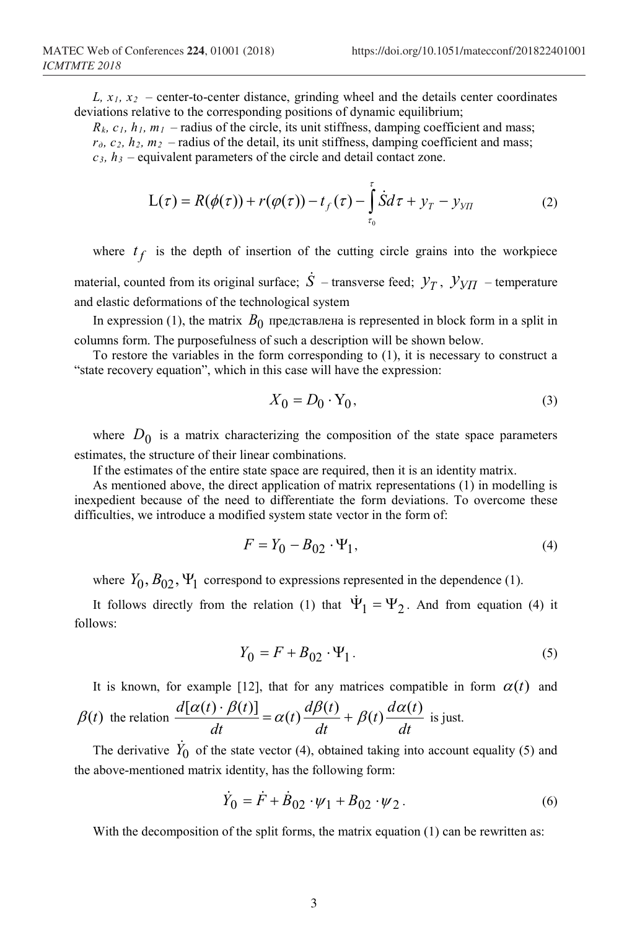*L,*  $x_1$ *,*  $x_2$  *– center-to-center distance, grinding wheel and the details center coordinates* deviations relative to the corresponding positions of dynamic equilibrium;

 $R_k$ ,  $c_1$ ,  $h_1$ ,  $m_1$  – radius of the circle, its unit stiffness, damping coefficient and mass;  $r<sub>0</sub>$ ,  $c<sub>2</sub>$ ,  $h<sub>2</sub>$ ,  $m<sub>2</sub>$  – radius of the detail, its unit stiffness, damping coefficient and mass;  $c_3$ ,  $h_3$  – equivalent parameters of the circle and detail contact zone.

$$
L(\tau) = R(\phi(\tau)) + r(\phi(\tau)) - t_f(\tau) - \int_{\tau_0}^{\tau} \dot{S} d\tau + y_T - y_{VII}
$$
 (2)

where  $t_f$  is the depth of insertion of the cutting circle grains into the workpiece material, counted from its original surface;  $\dot{S}$  – transverse feed;  $\mathcal{Y}_T$ ,  $\mathcal{Y}_{Y\Pi}$  – temperature and elastic deformations of the technological system

In expression (1), the matrix  $B_0$  представлена is represented in block form in a split in columns form. The purposefulness of such a description will be shown below.

To restore the variables in the form corresponding to (1), it is necessary to construct a "state recovery equation", which in this case will have the expression:

$$
X_0 = D_0 \cdot Y_0,\tag{3}
$$

where  $D_0$  is a matrix characterizing the composition of the state space parameters estimates, the structure of their linear combinations.

If the estimates of the entire state space are required, then it is an identity matrix.

As mentioned above, the direct application of matrix representations (1) in modelling is inexpedient because of the need to differentiate the form deviations. To overcome these difficulties, we introduce a modified system state vector in the form of:

$$
F = Y_0 - B_{02} \cdot \Psi_1,\tag{4}
$$

where  $Y_0$ ,  $B_{02}$ ,  $\Psi_1$  correspond to expressions represented in the dependence (1).

It follows directly from the relation (1) that  $\Psi_1 = \Psi_2$ . And from equation (4) it follows:

$$
Y_0 = F + B_{02} \cdot \Psi_1. \tag{5}
$$

It is known, for example [12], that for any matrices compatible in form  $\alpha(t)$  and  $\beta(t)$  the relation *dt*  $t)$ <sup> $\frac{d\alpha(t)}{dt}$ </sup> *dt*  $(t)$ <sup> $\frac{d\beta(t)}{dt}$ </sup> *dt*  $\frac{d[\alpha(t) \cdot \beta(t)]}{dt} = \alpha(t) \frac{d\beta(t)}{dt} + \beta(t) \frac{d\alpha(t)}{dt}$  is just.

The derivative  $\dot{Y}_0$  of the state vector (4), obtained taking into account equality (5) and the above-mentioned matrix identity, has the following form:

$$
\dot{Y}_0 = \dot{F} + \dot{B}_{02} \cdot \psi_1 + B_{02} \cdot \psi_2.
$$
 (6)

With the decomposition of the split forms, the matrix equation (1) can be rewritten as: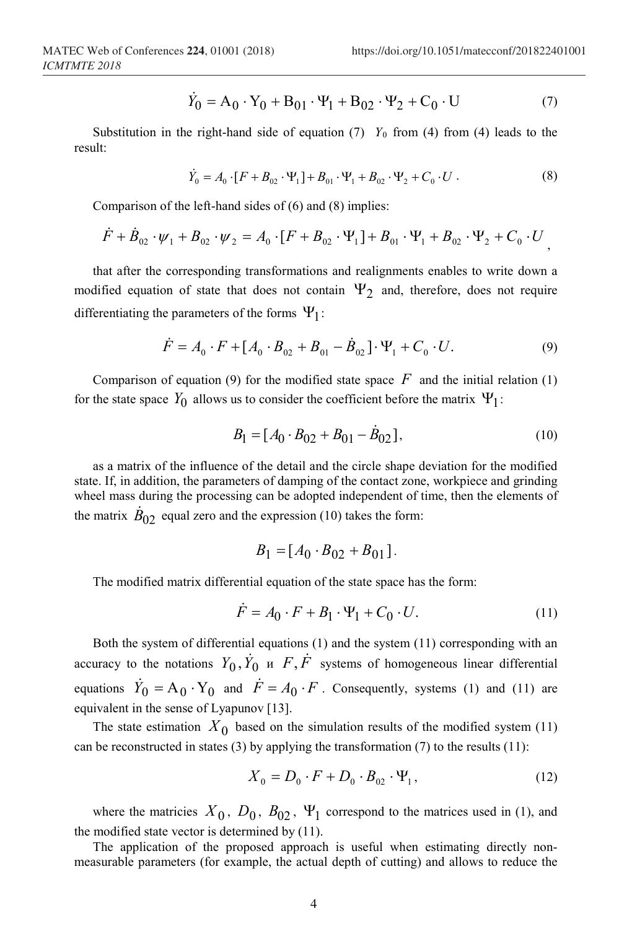$$
\dot{Y}_0 = A_0 \cdot Y_0 + B_{01} \cdot \Psi_1 + B_{02} \cdot \Psi_2 + C_0 \cdot U \tag{7}
$$

Substitution in the right-hand side of equation (7)  $Y_0$  from (4) from (4) leads to the result:

$$
\dot{Y}_0 = A_0 \cdot [F + B_{02} \cdot \Psi_1] + B_{01} \cdot \Psi_1 + B_{02} \cdot \Psi_2 + C_0 \cdot U \,. \tag{8}
$$

Comparison of the left-hand sides of (6) and (8) implies:

$$
\dot{F} + \dot{B}_{02} \cdot \psi_1 + B_{02} \cdot \psi_2 = A_0 \cdot [F + B_{02} \cdot \Psi_1] + B_{01} \cdot \Psi_1 + B_{02} \cdot \Psi_2 + C_0 \cdot U,
$$

that after the corresponding transformations and realignments enables to write down a modified equation of state that does not contain  $\Psi_2$  and, therefore, does not require differentiating the parameters of the forms  $\Psi_1$ :

$$
\dot{F} = A_0 \cdot F + [A_0 \cdot B_{02} + B_{01} - \dot{B}_{02}] \cdot \Psi_1 + C_0 \cdot U. \tag{9}
$$

Comparison of equation (9) for the modified state space  $F$  and the initial relation (1) for the state space  $Y_0$  allows us to consider the coefficient before the matrix  $\Psi_1$ :

$$
B_1 = [A_0 \cdot B_{02} + B_{01} - \dot{B}_{02}], \qquad (10)
$$

as a matrix of the influence of the detail and the circle shape deviation for the modified state. If, in addition, the parameters of damping of the contact zone, workpiece and grinding wheel mass during the processing can be adopted independent of time, then the elements of the matrix  $B_{02}$  equal zero and the expression (10) takes the form:

$$
B_1 = [A_0 \cdot B_{02} + B_{01}].
$$

The modified matrix differential equation of the state space has the form:

$$
\dot{F} = A_0 \cdot F + B_1 \cdot \Psi_1 + C_0 \cdot U. \tag{11}
$$

Both the system of differential equations (1) and the system (11) corresponding with an accuracy to the notations  $Y_0$ ,  $\dot{Y}_0$  u  $F$ ,  $\dot{F}$  systems of homogeneous linear differential equations  $\dot{Y}_0 = A_0 \cdot Y_0$  and  $\dot{F} = A_0 \cdot F$ . Consequently, systems (1) and (11) are equivalent in the sense of Lyapunov [13].

The state estimation  $X_0$  based on the simulation results of the modified system (11) can be reconstructed in states (3) by applying the transformation (7) to the results (11):

$$
X_0 = D_0 \cdot F + D_0 \cdot B_{02} \cdot \Psi_1, \qquad (12)
$$

where the matricies  $X_0$ ,  $D_0$ ,  $B_{02}$ ,  $\Psi_1$  correspond to the matrices used in (1), and the modified state vector is determined by (11).

The application of the proposed approach is useful when estimating directly nonmeasurable parameters (for example, the actual depth of cutting) and allows to reduce the